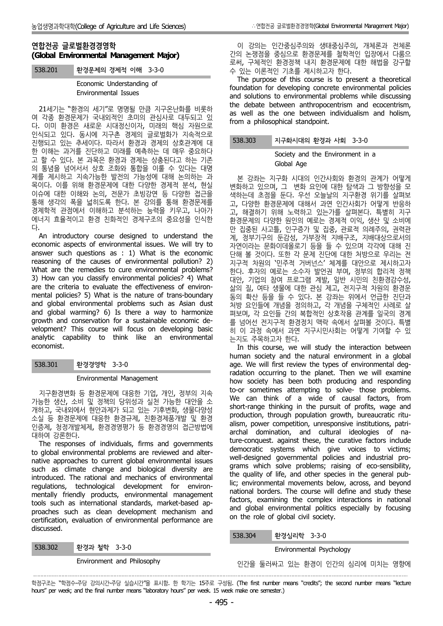# **연합전공 글로벌환경경영학 (Global Environmental Management Major)**

538.201 환경문제의 경제적 이해 3-3-0

Economic Understanding of Environmental Issues

21세기는 "환경의 세기"로 명명될 만큼 지구온난화를 비롯하 여 각종 환경문제가 국내외적인 초미의 관심사로 대두되고 있 다. 이미 환경은 새로운 시대정신이자, 미래의 핵심 자원으로 인식되고 있다. 동시에 지구촌 경제의 글로벌화가 지속적으로 진행되고 있는 추세이다. 따라서 환경과 경제의 상호관계에 대 한 이해는 과거를 진단하고 미래를 예측하는 데 매우 중요하다 고 할 수 있다. 본 과목은 환경과 경제는 상충된다고 하는 기존 의 통념을 넘어서서 상호 조화와 통합을 이룰 수 있다는 대명 제를 제시하고 지속가능한 발전의 가능성에 대해 논의하는 과 목이다. 이를 위해 환경문제에 대한 다양한 경제적 분석, 현실 이슈에 대한 이해와 논의, 전문가 초빙강연 등 다양한 접근을 통해 생각의 폭을 넓히도록 한다. 본 강의를 통해 환경문제를 경제학적 관점에서 이해하고 분석하는 능력을 키우고, 나아가 에너지 효율적이고 환경 친화적인 경제구조의 중요성을 인식한

다.<br>An introductory course designed to understand the economic aspects of environmental issues. We will try to answer such questions as : 1) What is the economic reasoning of the causes of environmental pollution? 2) What are the remedies to cure environmental problems? 3) How can you classify environmental policies? 4) What are the criteria to evaluate the effectiveness of environ mental policies? 5) What is the nature of trans-boundary and global environmental problems such as Asian dust and global warming? 6) Is there a way to harmonize growth and conservation for a sustainable economic de velopment? This course will focus on developing basic analytic capability to think like an environmental economist.

538.301 환경경영학 3-3-0

Environmental Management

지구환경변화 등 환경문제에 대응한 기업, 개인, 정부의 지속 가능한 생산, 소비 및 정책의 당위성과 실천 가능한 대안을 소 개하고, 국내외에서 현안과제가 되고 있는 기후변화, 생물다양성 소실 등 환경문제에 대응한 환경규제, 친환경제품개발 및 환경 인증제, 청정개발체제, 환경경영평가 등 환경경영의 접근방법에 대하여 강론한다.

The responses of individuals, firms and governments to global environmental problems are reviewed and alter native approaches to current global environmental issues such as climate change and biological diversity are introduced. The rational and mechanics of environmental regulations, technological development for environ mentally friendly products, environmental management tools such as international standards, market-based ap proaches such as clean development mechanism and certification, evaluation of environmental performance are discussed.

538.302 환경과 철학 3-3-0

·

Environment and Philosophy

이 강의는 인간중심주의와 생태중심주의, 개체론과 전체론 간의 논쟁점을 중심으로 환경문제를 철학적인 입장에서 다룸으 로써, 구체적인 환경정책 내지 환경문제에 대한 해법을 강구할 수 있는 이론적인 기초를 제시하고자 한다.

The purpose of this course is to present a theoretical foundation for developing concrete environmental policies and solutions to environmental problems while discussing the debate between anthropocentrism and ecocentrism, as well as the one between individualism and holism, from a philosophical standpoint.

## 538.303 지구화시대의 환경과 사회 3-3-0

## Society and the Environment in a Global Age

본 강좌는 지구화 시대의 인간사회와 환경의 관계가 어떻게 Expediance of the trient the Environment in a<br>Society and the Environment in a<br>보 강좌는 지구화 시대의 인간사회와 환경의 관계가 어떻게<br>변화하고 있으며, 그 변화 요인에 대한 탐색과 그 방향성을 모<br>색하는데 초점을 둔다. 우선 오늘날의 지구환경 위기를 살펴보 고, 다양한 환경문제에 대해서 과연 인간사회가 어떻게 반응하 고, 해결하기 위해 노력하고 있는가를 살펴본다. 특별히 지구 환경문제의 다양한 원인의 예로는 경제적 이익, 생산 및 소비에 만 집중된 사고틀, 인구증가 및 집중, 관료적 의례주의, 권력관 계, 정부기구의 둔감성, 가부장적 지배구조, 지배대상으로서의 자연이라는 문화이데올로기 등을 들 수 있으며 각각에 대해 진 단해 볼 것이다. 또한 각 문제 진단에 대한 처방으로 우리는 전 지구적 차원의 '민주적 거버넌스' 체계를 대안으로 제시하고자 한다. 후자의 예로는 소수자 발언권 부여, 정부의 합리적 정책 대안, 기업의 참여 프로그램 계발, 일반 시민의 친환경감수성, 삶의 질, 여타 생물에 대한 관심 제고, 전지구적 차원의 환경운 동의 확산 등을 들 수 있다. 본 강좌는 위에서 언급한 진단과 처방 요인들에 개념을 정의하고, 각 개념을 구체적인 사례로 살 펴보며, 각 요인들 간의 복합적인 상호작용 관계를 일국의 경계 를 넘어선 전지구적 환경정치 맥락 속에서 살펴볼 것이다. 특별 히 이 과정 속에서 과연 지구시민사회는 어떻게 기여할 수 있

In this course, we will study the interaction between human society and the natural environment in a global age. We will first review the types of environmental degradation occurring to the planet. Then we will examine how society has been both producing and responding to-or sometimes attempting to solve- those problems. We can think of a wide of causal factors, from short-range thinking in the pursuit of profits, wage and production, through population growth, bureaucratic ritu alism, power competition, unresponsive institutions, patri archal domination, and cultural ideologies of nature-conquest. against these, the curative factors include democratic systems which give voices to victims; well-designed governmental policies and industrial pro grams which solve problems; raising of eco-sensibility, the quality of life, and other species in the general public; environmental movements below, across, and beyond national borders. The course will define and study these factors, examining the complex interactions in national and global environmental politics especially by focusing on the role of global civil society.

## 538.304 환경심리학 3-3-0

Environmental Psychology

인간을 둘러싸고 있는 환경이 인간의 심리에 미치는 영향에

학점구조는 "학점수-주당 강의시간-주당 실습시간"을 표시함. 한 학기는 15주로 구성됨. (The first number means "credits"; the second number means "lecture hours" per week; and the final number means "laboratory hours" per week. 15 week make one semester.)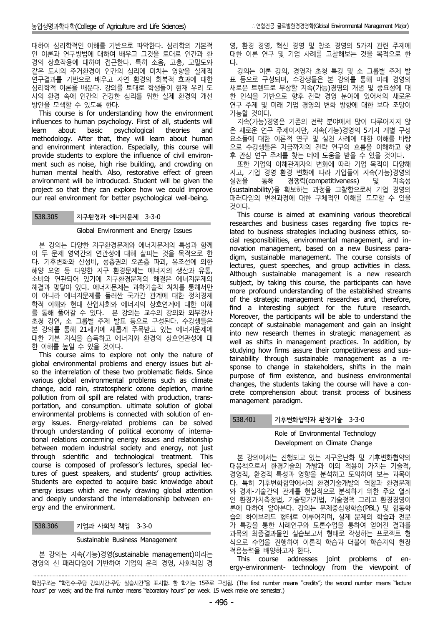대하여 심리학적인 이해를 기반으로 파악한다. 심리학의 기본적 인 이론과 연구방법에 대하여 배우고 그것을 토대로 인간과 환 경의 상호작용에 대하여 접근한다. 특히 소음, 고층, 고밀도와 같은 도시의 주거환경이 인간의 심리에 미치는 영향을 실제적 연구결과를 기반으로 배우고 자연 환경의 회복적 효과에 대한 심리학적 이론을 배운다. 강의를 토대로 학생들이 현재 우리 도 시의 환경 속에 인간의 건강한 심리를 위한 실제 환경의 개선

방안을 모색할 수 있도록 한다. This course is for understanding how the environment influences to human psychology. First of all, students will learn about basic psychological theories and methodology. After that, they will learn about human and environment interaction. Especially, this course will provide students to explore the influence of civil environ ment such as noise, high rise building, and crowding on human mental health. Also, restorative effect of green environment will be introduced. Student will be given the project so that they can explore how we could improve our real environment for better psychological well-being.

## 538.305 지구환경과 에너지문제 3-3-0

#### Global Environment and Energy Issues

본 강의는 다양한 지구환경문제와 에너지문제의 특성과 함께 이 두 문제 영역간의 연관성에 대해 살피는 것을 목적으로 한 다. 기후변화와 산성비, 성층권의 오존층 파괴, 유조선에 의한 해양 오염 등 다양한 지구 환경문제는 에너지의 생산과 유통, 소비와 연관되어 있기에 지구환경문제의 해결은 에너지문제의 해결과 맞닿아 있다. 에너지문제는 과학기술적 처치를 통해서만 이 아니라 에너지문제를 둘러싼 국가간 관계에 대한 정치경제 학적 이해와 현대 산업사회와 에너지의 상호연계에 대한 이해 를 통해 풀어갈 수 있다. 본 강의는 교수의 강의와 외부강사 초청 강연, 소 그룹별 주제 발표 등으로 구성된다. 수강생들은 본 강의를 통해 21세기에 새롭게 주목받고 있는 에너지문제에 대한 기본 지식을 습득하고 에너지와 환경의 상호연관성에 대 한 이해를 높일 수 있을 것이다.

This course aims to explore not only the nature of global environmental problems and energy issues but al so the interrelation of these two problematic fields. Since various global environmental problems such as climate change, acid rain, stratospheric ozone depletion, marine pollution from oil spill are related with production, trans portation, and consumption. ultimate solution of global environmental problems is connected with solution of en ergy issues. Energy-related problems can be solved through understanding of political economy of international relations concerning energy issues and relationship between modern industrial society and energy, not just through scientific and technological treatment. This course is composed of professor's lectures, special lectures of guest speakers, and students' group activities. Students are expected to acquire basic knowledge about energy issues which are newly drawing global attention and deeply understand the interrelationship between en ergy and the environment.

538.306 기업과 사회적 책임 3-3-0

·

Sustainable Business Management

본 강의는 지속(가능)경영(sustainable management)이라는 경영의 신 패러다임에 기반하여 기업의 윤리 경영, 사회책임 경

영, 환경 경영, 혁신 경영 및 창조 경영의 5가지 관련 주제에 대한 이론 연구 및 기업 사례를 고찰해보는 것을 목적으로 한 다.

강의는 이론 강의, 경영자 초청 특강 및 소 그룹별 주제 발 표 등으로 구성되며, 수강생들은 본 강의를 통해 미래 경영의 새로운 트렌드로 부상할 지속(가능)경영의 개념 및 중요성에 대 한 인식을 기반으로 향후 전략 경영 분야에 있어서의 새로운 연구 주제 및 미래 기업 경영의 변화 방향에 대한 보다 조망이 가능할 것이다.

지속(가능)경영은 기존의 전략 분야에서 많이 다루어지지 않 은 새로운 연구 주제이지만, 지속(가능)경영의 5가지 개별 구성 요소들에 대한 이론적 연구 및 실천 사례에 대한 이해를 바탕 으로 수강생들은 지금까지의 전략 연구의 흐름을 이해하고 향 후 관심 연구 주제를 찾는 데에 도움을 받을 수 있을 것이다.

또한 기업의 이해관계자의 변화에 따라 기업 목적이 다양해 지고, 기업 경영 환경 변화에 따라 기업들이 지속(가능)경영의 실천을 통해 경쟁력(competitiveness) 및 지속성 (sustainability)을 확보하는 과정을 고찰함으로써 기업 경영의 패러다임의 변천과정에 대한 구체적인 이해를 도모할 수 있을 것이다.

This course is aimed at examining various theoretical researches and business cases regarding five topics related to business strategies including business ethics, so cial responsibilities, environmental management, and in novation management, based on a new Business para digm, sustainable management. The course consists of lectures, guest speeches, and group activities in class. Although sustainable management is a new research subject, by taking this course, the participants can have more profound understanding of the established streams of the strategic management researches and, therefore, find a interesting subject for the future research. Moreover, the participants will be able to understand the concept of sustainable management and gain an insight into new research themes in strategic management as well as shifts in management practices. In addition, by studying how firms assure their competitiveness and sustainability through sustainable management as a re sponse to change in stakeholders, shifts in the main purpose of firm existence, and business environmental changes, the students taking the course will have a con crete comprehension about transit process of business management paradigm.

## 538.401 기후변화협약과 환경기술 3-3-0

## Role of Environmental Technology Development on Climate Change

본 강의에서는 진행되고 있는 지구온난화 및 기후변화협약의 대응책으로서 환경기술의 개발과 이의 적용이 가지는 기술적, 경영적, 환경적 특성과 영향을 분석하고 토의하여 보는 과목이 다. 특히 기후변화협약에서의 환경기술개발의 역할과 환경문제 와 경제-기술간의 관계를 현실적으로 분석하기 위한 주요 열쇠 인 환경가치측정법, 기술평가기법, 기술정책 그리고 환경경영이 론에 대하여 알아본다. 강의는 문제중심형학습(PBL) 및 협동학 습의 하이브리드 형태로 이루어지며, 실제 문제의 학습과 전문 가 특강을 통한 사례연구와 토론수업을 통하여 얻어진 결과를 과목의 최종결과물인 실습보고서 형태로 작성하는 프로젝트 형 식으로 수업을 진행하여 이론적 학습과 더불어 학습자의 현장

This course addresses joint problems of energy-environment- technology from the viewpoint of 

학점구조는 "학점수-주당 강의시간-주당 실습시간"을 표시함. 한 학기는 15주로 구성됨. (The first number means "credits"; the second number means "lecture hours" per week; and the final number means "laboratory hours" per week. 15 week make one semester.)